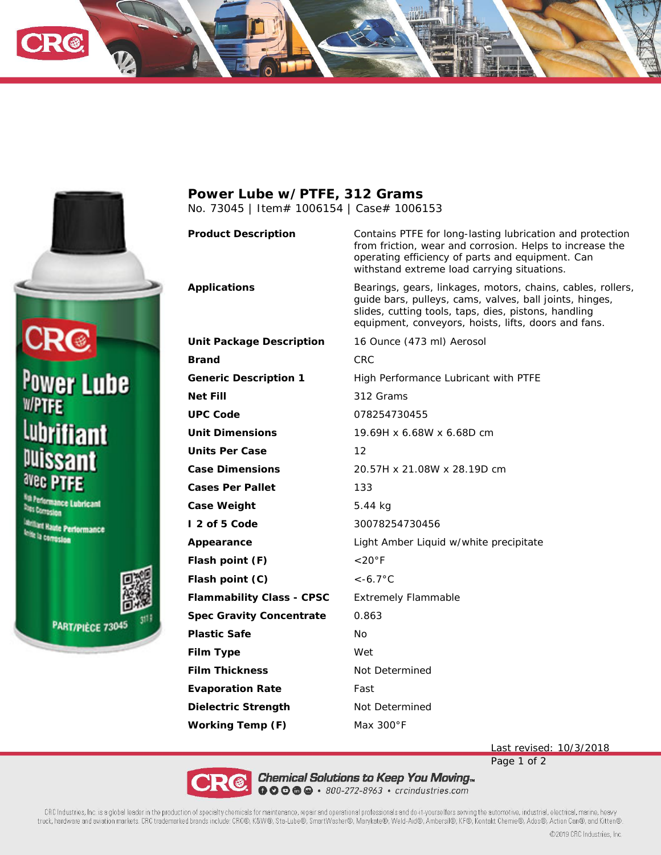





## **Power Lube w/PTFE, 312 Grams** No. 73045 | Item# 1006154 | Case# 1006153

**Unit Package Description** 16 Ounce (473 ml) Aerosol **Brand** CRC **Generic Description 1** High Performance Lubricant with PTFE **Net Fill** 312 Grams **UPC Code** 078254730455 **Unit Dimensions** 19.69H x 6.68W x 6.68D cm **Units Per Case** 12 **Case Dimensions** 20.57H x 21.08W x 28.19D cm **Cases Per Pallet** 133 **Case Weight** 5.44 kg **I 2 of 5 Code** 30078254730456 **Appearance** Light Amber Liquid w/white precipitate **Flash point (F)** <20°F **Flash point (C)** <-6.7°C **Flammability Class - CPSC** Extremely Flammable **Spec Gravity Concentrate** 0.863 **Plastic Safe** No **Film Type** Wet **Film Thickness** Not Determined **Evaporation Rate** Fast **Dielectric Strength** Not Determined **Working Temp (F)** Max 300°F

**Product Description** Contains PTFE for long-lasting lubrication and protection from friction, wear and corrosion. Helps to increase the operating efficiency of parts and equipment. Can withstand extreme load carrying situations.

**Applications** Bearings, gears, linkages, motors, chains, cables, rollers, guide bars, pulleys, cams, valves, ball joints, hinges, slides, cutting tools, taps, dies, pistons, handling equipment, conveyors, hoists, lifts, doors and fans.

Last revised: 10/3/2018

Page 1 of 2



Chemical Solutions to Keep You Moving<sub>™</sub><br>**● ● ● ●** ● *• 800-272-8963* • crcindustries.com

CRC Industries, Inc. is a global leader in the production of specialty chemicals for maintenance, repair and operational professionals and do-it-yourselfers serving the automotive, industrial, electrical, marine, heavy truck, hardware and aviation markets. CRC trademarked brands include: CRC®, K&W®, Sta-Lube®, SmartWasher®, Marykate®, Weld-Aid®, Ambersil®, KF®, Kontakt Chemie®, Ados®, Action Can®, and Kitten®.